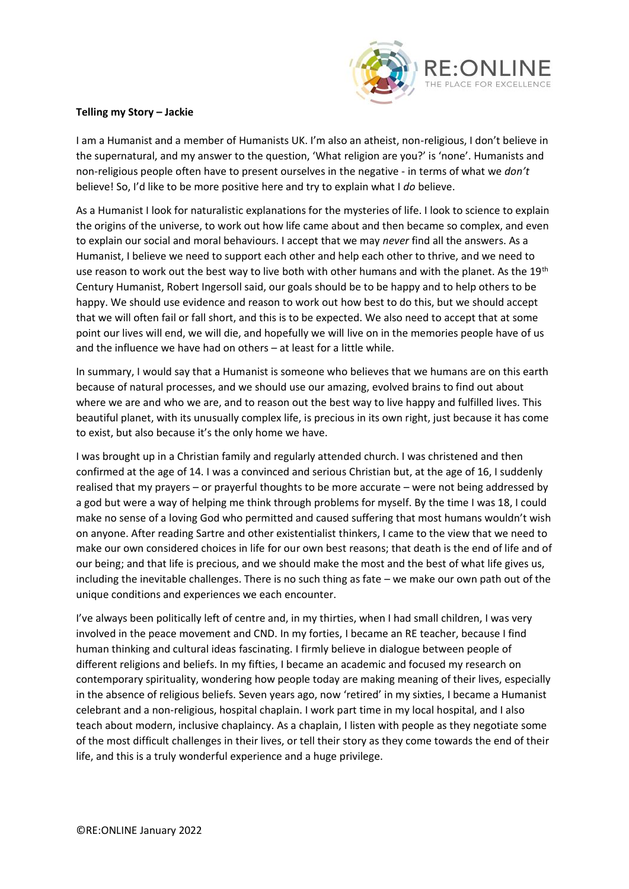

## **Telling my Story – Jackie**

I am a Humanist and a member of Humanists UK. I'm also an atheist, non-religious, I don't believe in the supernatural, and my answer to the question, 'What religion are you?' is 'none'. Humanists and non-religious people often have to present ourselves in the negative - in terms of what we *don't* believe! So, I'd like to be more positive here and try to explain what I *do* believe.

As a Humanist I look for naturalistic explanations for the mysteries of life. I look to science to explain the origins of the universe, to work out how life came about and then became so complex, and even to explain our social and moral behaviours. I accept that we may *never* find all the answers. As a Humanist, I believe we need to support each other and help each other to thrive, and we need to use reason to work out the best way to live both with other humans and with the planet. As the 19<sup>th</sup> Century Humanist, Robert Ingersoll said, our goals should be to be happy and to help others to be happy. We should use evidence and reason to work out how best to do this, but we should accept that we will often fail or fall short, and this is to be expected. We also need to accept that at some point our lives will end, we will die, and hopefully we will live on in the memories people have of us and the influence we have had on others – at least for a little while.

In summary, I would say that a Humanist is someone who believes that we humans are on this earth because of natural processes, and we should use our amazing, evolved brains to find out about where we are and who we are, and to reason out the best way to live happy and fulfilled lives. This beautiful planet, with its unusually complex life, is precious in its own right, just because it has come to exist, but also because it's the only home we have.

I was brought up in a Christian family and regularly attended church. I was christened and then confirmed at the age of 14. I was a convinced and serious Christian but, at the age of 16, I suddenly realised that my prayers – or prayerful thoughts to be more accurate – were not being addressed by a god but were a way of helping me think through problems for myself. By the time I was 18, I could make no sense of a loving God who permitted and caused suffering that most humans wouldn't wish on anyone. After reading Sartre and other existentialist thinkers, I came to the view that we need to make our own considered choices in life for our own best reasons; that death is the end of life and of our being; and that life is precious, and we should make the most and the best of what life gives us, including the inevitable challenges. There is no such thing as fate – we make our own path out of the unique conditions and experiences we each encounter.

I've always been politically left of centre and, in my thirties, when I had small children, I was very involved in the peace movement and CND. In my forties, I became an RE teacher, because I find human thinking and cultural ideas fascinating. I firmly believe in dialogue between people of different religions and beliefs. In my fifties, I became an academic and focused my research on contemporary spirituality, wondering how people today are making meaning of their lives, especially in the absence of religious beliefs. Seven years ago, now 'retired' in my sixties, I became a Humanist celebrant and a non-religious, hospital chaplain. I work part time in my local hospital, and I also teach about modern, inclusive chaplaincy. As a chaplain, I listen with people as they negotiate some of the most difficult challenges in their lives, or tell their story as they come towards the end of their life, and this is a truly wonderful experience and a huge privilege.